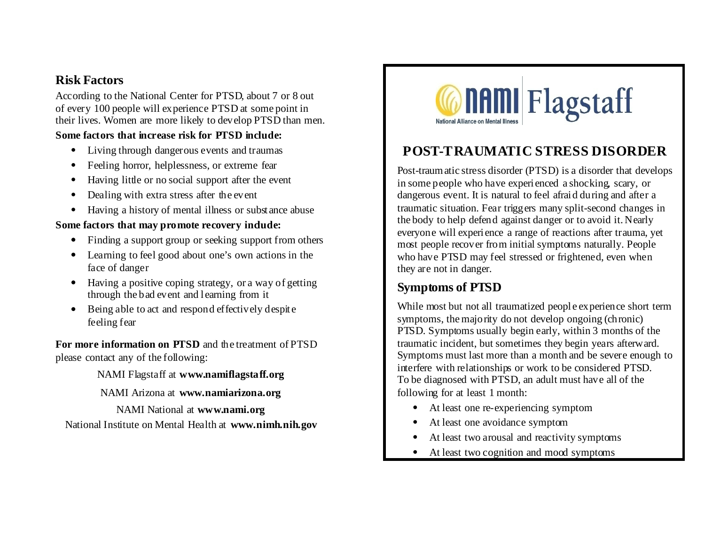## **Risk Factors**

According to the National Center for PTSD, about 7 or 8 out of every 100 people will experience PTSD at some point in their lives. Women are more likely to develop PTSD than men.

#### **Some factors that increase risk for PTSD include:**

- Living through dangerous events and traumas
- Feeling horror, helplessness, or extreme fear
- Having little or no social support after the event
- Dealing with extra stress after the event
- Having a history of mental illness or substance abuse

### Some factors that may promote recovery indude:

- Finding a support group or seeking support from others
- Learning to feel good about one's own actions in the face of danger
- Having a positive coping strategy, or a way of getting through the bad event and learning from it
- Being able to act and respond effectively despite feeling fear

**For more information on PTSD** and the treatment of PTSD please contact any of the following:

NAMI Flagstaff at **www.namiflagstaff.org**

NAMI Arizona at **www.namiarizona.org**

NAMI National at **www.nami.org**

National Institute on Mental Health at **www.nimh.nih.gov**



# **POST-TRAUMATIC STRESS DISORDER**

Post-traumatic stress disorder (PTSD) is a disorder that develops in some people who have experienced a shocking, scary, or dangerous event. It is natural to feel afraid during and after a traumatic situation. Fear triggers many split-second changes in the body to help defend against danger or to avoid it. Nearly everyone will experience a range of reactions after trauma, yet most people recover from initial symptoms naturally. People who have PTSD may feel stressed or frightened, even when they are not in danger.

## **Symptoms of PTSD**

While most but not all traumatized people experience short term symptoms, the majority do not develop ongoing (chronic) PTSD. Symptoms usually begin early, within 3 months of the traumatic incident, but sometimes they begin years afterward. Symptoms must last more than a month and be severe enough to interfere with relationships or work to be considered PTSD. To be diagnosed with PTSD, an adult must have all of the following for at least 1 month:

- At least one re-experiencing symptom
- At least one avoidance symptom
- At least two arousal and reactivity symptoms
- At least two cognition and mood symptoms